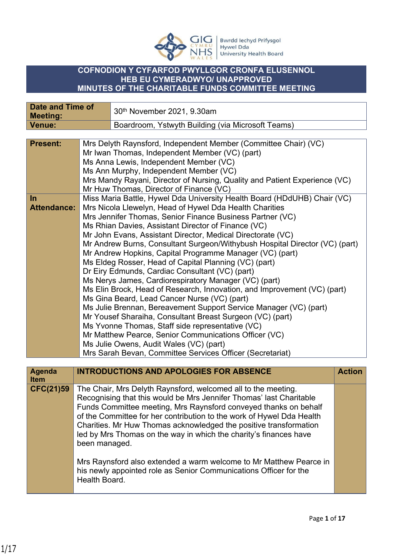

## **COFNODION Y CYFARFOD PWYLLGOR CRONFA ELUSENNOL HEB EU CYMERADWYO/ UNAPPROVED MINUTES OF THE CHARITABLE FUNDS COMMITTEE MEETING**

| <b>Date and Time of</b> | 30th November 2021, 9.30am                        |                                                                                                                                                                                                                                                                                                                                                                                                                                                                                                                                                                                                                                                                                                                                                                                                                                                                                                                                                                                                                                                                                                                                                                                                                                                                                                                                                                                                                                                                                                                                                                                                                                                                                                                                                                                                                                                                                                                                                                                                                                                                                                                           |
|-------------------------|---------------------------------------------------|---------------------------------------------------------------------------------------------------------------------------------------------------------------------------------------------------------------------------------------------------------------------------------------------------------------------------------------------------------------------------------------------------------------------------------------------------------------------------------------------------------------------------------------------------------------------------------------------------------------------------------------------------------------------------------------------------------------------------------------------------------------------------------------------------------------------------------------------------------------------------------------------------------------------------------------------------------------------------------------------------------------------------------------------------------------------------------------------------------------------------------------------------------------------------------------------------------------------------------------------------------------------------------------------------------------------------------------------------------------------------------------------------------------------------------------------------------------------------------------------------------------------------------------------------------------------------------------------------------------------------------------------------------------------------------------------------------------------------------------------------------------------------------------------------------------------------------------------------------------------------------------------------------------------------------------------------------------------------------------------------------------------------------------------------------------------------------------------------------------------------|
|                         | Boardroom, Ystwyth Building (via Microsoft Teams) |                                                                                                                                                                                                                                                                                                                                                                                                                                                                                                                                                                                                                                                                                                                                                                                                                                                                                                                                                                                                                                                                                                                                                                                                                                                                                                                                                                                                                                                                                                                                                                                                                                                                                                                                                                                                                                                                                                                                                                                                                                                                                                                           |
|                         |                                                   |                                                                                                                                                                                                                                                                                                                                                                                                                                                                                                                                                                                                                                                                                                                                                                                                                                                                                                                                                                                                                                                                                                                                                                                                                                                                                                                                                                                                                                                                                                                                                                                                                                                                                                                                                                                                                                                                                                                                                                                                                                                                                                                           |
| <b>Attendance:</b>      |                                                   |                                                                                                                                                                                                                                                                                                                                                                                                                                                                                                                                                                                                                                                                                                                                                                                                                                                                                                                                                                                                                                                                                                                                                                                                                                                                                                                                                                                                                                                                                                                                                                                                                                                                                                                                                                                                                                                                                                                                                                                                                                                                                                                           |
|                         |                                                   | <b>Action</b>                                                                                                                                                                                                                                                                                                                                                                                                                                                                                                                                                                                                                                                                                                                                                                                                                                                                                                                                                                                                                                                                                                                                                                                                                                                                                                                                                                                                                                                                                                                                                                                                                                                                                                                                                                                                                                                                                                                                                                                                                                                                                                             |
|                         |                                                   |                                                                                                                                                                                                                                                                                                                                                                                                                                                                                                                                                                                                                                                                                                                                                                                                                                                                                                                                                                                                                                                                                                                                                                                                                                                                                                                                                                                                                                                                                                                                                                                                                                                                                                                                                                                                                                                                                                                                                                                                                                                                                                                           |
|                         |                                                   | Mrs Delyth Raynsford, Independent Member (Committee Chair) (VC)<br>Mr Iwan Thomas, Independent Member (VC) (part)<br>Ms Anna Lewis, Independent Member (VC)<br>Ms Ann Murphy, Independent Member (VC)<br>Mrs Mandy Rayani, Director of Nursing, Quality and Patient Experience (VC)<br>Mr Huw Thomas, Director of Finance (VC)<br>Miss Maria Battle, Hywel Dda University Health Board (HDdUHB) Chair (VC)<br>Mrs Nicola Llewelyn, Head of Hywel Dda Health Charities<br>Mrs Jennifer Thomas, Senior Finance Business Partner (VC)<br>Ms Rhian Davies, Assistant Director of Finance (VC)<br>Mr John Evans, Assistant Director, Medical Directorate (VC)<br>Mr Andrew Burns, Consultant Surgeon/Withybush Hospital Director (VC) (part)<br>Mr Andrew Hopkins, Capital Programme Manager (VC) (part)<br>Ms Eldeg Rosser, Head of Capital Planning (VC) (part)<br>Dr Eiry Edmunds, Cardiac Consultant (VC) (part)<br>Ms Nerys James, Cardiorespiratory Manager (VC) (part)<br>Ms Elin Brock, Head of Research, Innovation, and Improvement (VC) (part)<br>Ms Gina Beard, Lead Cancer Nurse (VC) (part)<br>Ms Julie Brennan, Bereavement Support Service Manager (VC) (part)<br>Mr Yousef Sharaiha, Consultant Breast Surgeon (VC) (part)<br>Ms Yvonne Thomas, Staff side representative (VC)<br>Mr Matthew Pearce, Senior Communications Officer (VC)<br>Ms Julie Owens, Audit Wales (VC) (part)<br>Mrs Sarah Bevan, Committee Services Officer (Secretariat)<br><b>INTRODUCTIONS AND APOLOGIES FOR ABSENCE</b><br>The Chair, Mrs Delyth Raynsford, welcomed all to the meeting.<br>Recognising that this would be Mrs Jennifer Thomas' last Charitable<br>Funds Committee meeting, Mrs Raynsford conveyed thanks on behalf<br>of the Committee for her contribution to the work of Hywel Dda Health<br>Charities. Mr Huw Thomas acknowledged the positive transformation<br>led by Mrs Thomas on the way in which the charity's finances have<br>been managed.<br>Mrs Raynsford also extended a warm welcome to Mr Matthew Pearce in<br>his newly appointed role as Senior Communications Officer for the<br>Health Board. |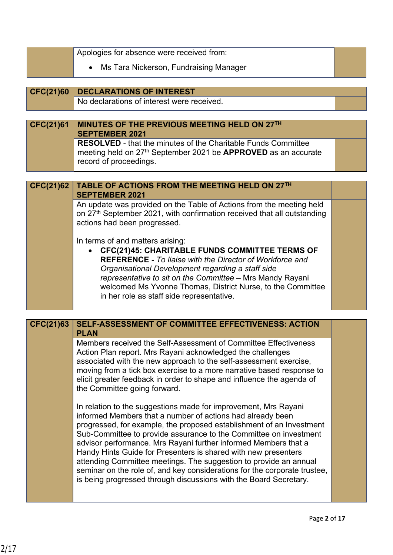|                  | Apologies for absence were received from:                                                                                                      |  |
|------------------|------------------------------------------------------------------------------------------------------------------------------------------------|--|
|                  | Ms Tara Nickerson, Fundraising Manager                                                                                                         |  |
|                  |                                                                                                                                                |  |
| <b>CFC(21)60</b> | <b>DECLARATIONS OF INTEREST</b><br>No declarations of interest were received.                                                                  |  |
|                  |                                                                                                                                                |  |
| <b>CFC(21)61</b> | MINUTES OF THE PREVIOUS MEETING HELD ON 27TH                                                                                                   |  |
|                  | <b>SEPTEMBER 2021</b>                                                                                                                          |  |
|                  | <b>RESOLVED</b> - that the minutes of the Charitable Funds Committee                                                                           |  |
|                  | meeting held on 27 <sup>th</sup> September 2021 be <b>APPROVED</b> as an accurate<br>record of proceedings.                                    |  |
|                  |                                                                                                                                                |  |
| <b>CFC(21)62</b> | TABLE OF ACTIONS FROM THE MEETING HELD ON 27TH                                                                                                 |  |
|                  | <b>SEPTEMBER 2021</b>                                                                                                                          |  |
|                  | An update was provided on the Table of Actions from the meeting held                                                                           |  |
|                  | on 27th September 2021, with confirmation received that all outstanding                                                                        |  |
|                  | actions had been progressed.                                                                                                                   |  |
|                  | In terms of and matters arising:                                                                                                               |  |
|                  | <b>CFC(21)45: CHARITABLE FUNDS COMMITTEE TERMS OF</b>                                                                                          |  |
|                  | <b>REFERENCE - To liaise with the Director of Workforce and</b><br>Organisational Development regarding a staff side                           |  |
|                  | representative to sit on the Committee - Mrs Mandy Rayani                                                                                      |  |
|                  | welcomed Ms Yvonne Thomas, District Nurse, to the Committee                                                                                    |  |
|                  | in her role as staff side representative.                                                                                                      |  |
|                  |                                                                                                                                                |  |
| <b>CFC(21)63</b> | SELF-ASSESSMENT OF COMMITTEE EFFECTIVENESS: ACTION<br><b>PLAN</b>                                                                              |  |
|                  | Members received the Self-Assessment of Committee Effectiveness                                                                                |  |
|                  | Action Plan report. Mrs Rayani acknowledged the challenges<br>associated with the new approach to the self-assessment exercise,                |  |
|                  | moving from a tick box exercise to a more narrative based response to                                                                          |  |
|                  | elicit greater feedback in order to shape and influence the agenda of                                                                          |  |
|                  | the Committee going forward.                                                                                                                   |  |
|                  | In relation to the suggestions made for improvement, Mrs Rayani                                                                                |  |
|                  | informed Members that a number of actions had already been                                                                                     |  |
|                  | progressed, for example, the proposed establishment of an Investment                                                                           |  |
|                  | Sub-Committee to provide assurance to the Committee on investment<br>advisor performance. Mrs Rayani further informed Members that a           |  |
|                  | Handy Hints Guide for Presenters is shared with new presenters                                                                                 |  |
|                  | attending Committee meetings. The suggestion to provide an annual<br>seminar on the role of, and key considerations for the corporate trustee, |  |
|                  |                                                                                                                                                |  |
|                  |                                                                                                                                                |  |
|                  | is being progressed through discussions with the Board Secretary.                                                                              |  |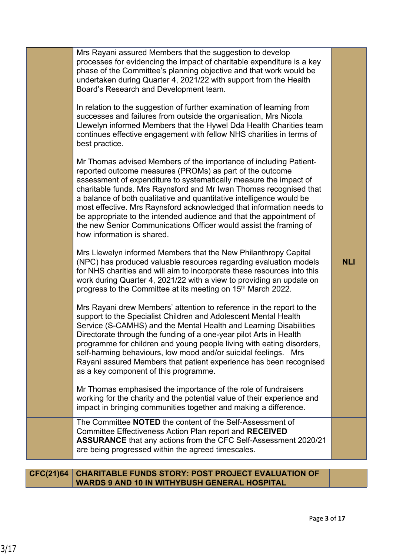| Mrs Rayani assured Members that the suggestion to develop<br>processes for evidencing the impact of charitable expenditure is a key<br>phase of the Committee's planning objective and that work would be<br>undertaken during Quarter 4, 2021/22 with support from the Health<br>Board's Research and Development team.                                                                                                                                                                                                                                                                           |            |
|----------------------------------------------------------------------------------------------------------------------------------------------------------------------------------------------------------------------------------------------------------------------------------------------------------------------------------------------------------------------------------------------------------------------------------------------------------------------------------------------------------------------------------------------------------------------------------------------------|------------|
| In relation to the suggestion of further examination of learning from<br>successes and failures from outside the organisation, Mrs Nicola<br>Llewelyn informed Members that the Hywel Dda Health Charities team<br>continues effective engagement with fellow NHS charities in terms of<br>best practice.                                                                                                                                                                                                                                                                                          |            |
| Mr Thomas advised Members of the importance of including Patient-<br>reported outcome measures (PROMs) as part of the outcome<br>assessment of expenditure to systematically measure the impact of<br>charitable funds. Mrs Raynsford and Mr Iwan Thomas recognised that<br>a balance of both qualitative and quantitative intelligence would be<br>most effective. Mrs Raynsford acknowledged that information needs to<br>be appropriate to the intended audience and that the appointment of<br>the new Senior Communications Officer would assist the framing of<br>how information is shared. |            |
| Mrs Llewelyn informed Members that the New Philanthropy Capital<br>(NPC) has produced valuable resources regarding evaluation models<br>for NHS charities and will aim to incorporate these resources into this<br>work during Quarter 4, 2021/22 with a view to providing an update on<br>progress to the Committee at its meeting on 15 <sup>th</sup> March 2022.                                                                                                                                                                                                                                | <b>NLI</b> |
| Mrs Rayani drew Members' attention to reference in the report to the<br>support to the Specialist Children and Adolescent Mental Health<br>Service (S-CAMHS) and the Mental Health and Learning Disabilities<br>Directorate through the funding of a one-year pilot Arts in Health<br>programme for children and young people living with eating disorders,<br>self-harming behaviours, low mood and/or suicidal feelings. Mrs<br>Rayani assured Members that patient experience has been recognised<br>as a key component of this programme.                                                      |            |
| Mr Thomas emphasised the importance of the role of fundraisers<br>working for the charity and the potential value of their experience and<br>impact in bringing communities together and making a difference.                                                                                                                                                                                                                                                                                                                                                                                      |            |
| The Committee <b>NOTED</b> the content of the Self-Assessment of<br>Committee Effectiveness Action Plan report and RECEIVED<br><b>ASSURANCE</b> that any actions from the CFC Self-Assessment 2020/21<br>are being progressed within the agreed timescales.                                                                                                                                                                                                                                                                                                                                        |            |
| <b>CFC(21)64 CHARITABLE FUNDS STORY: POST PROJECT EVALUATION OF</b>                                                                                                                                                                                                                                                                                                                                                                                                                                                                                                                                |            |

## **CFC(21)64 CHARITABLE FUNDS STORY: POST PROJECT EVALUATION OF WARDS 9 AND 10 IN WITHYBUSH GENERAL HOSPITAL**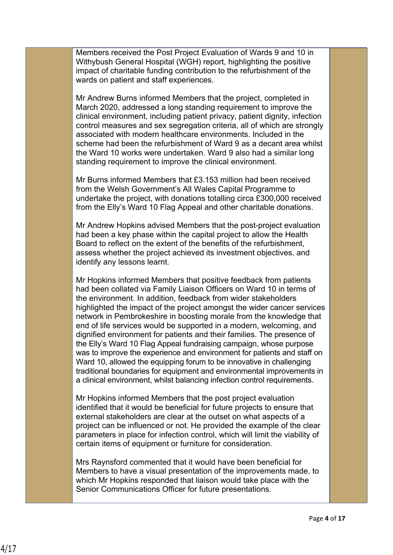Members received the Post Project Evaluation of Wards 9 and 10 in Withybush General Hospital (WGH) report, highlighting the positive impact of charitable funding contribution to the refurbishment of the wards on patient and staff experiences.

Mr Andrew Burns informed Members that the project, completed in March 2020, addressed a long standing requirement to improve the clinical environment, including patient privacy, patient dignity, infection control measures and sex segregation criteria, all of which are strongly associated with modern healthcare environments. Included in the scheme had been the refurbishment of Ward 9 as a decant area whilst the Ward 10 works were undertaken. Ward 9 also had a similar long standing requirement to improve the clinical environment.

Mr Burns informed Members that £3.153 million had been received from the Welsh Government's All Wales Capital Programme to undertake the project, with donations totalling circa £300,000 received from the Elly's Ward 10 Flag Appeal and other charitable donations.

Mr Andrew Hopkins advised Members that the post-project evaluation had been a key phase within the capital project to allow the Health Board to reflect on the extent of the benefits of the refurbishment, assess whether the project achieved its investment objectives, and identify any lessons learnt.

Mr Hopkins informed Members that positive feedback from patients had been collated via Family Liaison Officers on Ward 10 in terms of the environment. In addition, feedback from wider stakeholders highlighted the impact of the project amongst the wider cancer services network in Pembrokeshire in boosting morale from the knowledge that end of life services would be supported in a modern, welcoming, and dignified environment for patients and their families. The presence of the Elly's Ward 10 Flag Appeal fundraising campaign, whose purpose was to improve the experience and environment for patients and staff on Ward 10, allowed the equipping forum to be innovative in challenging traditional boundaries for equipment and environmental improvements in a clinical environment, whilst balancing infection control requirements.

Mr Hopkins informed Members that the post project evaluation identified that it would be beneficial for future projects to ensure that external stakeholders are clear at the outset on what aspects of a project can be influenced or not. He provided the example of the clear parameters in place for infection control, which will limit the viability of certain items of equipment or furniture for consideration.

Mrs Raynsford commented that it would have been beneficial for Members to have a visual presentation of the improvements made, to which Mr Hopkins responded that liaison would take place with the Senior Communications Officer for future presentations.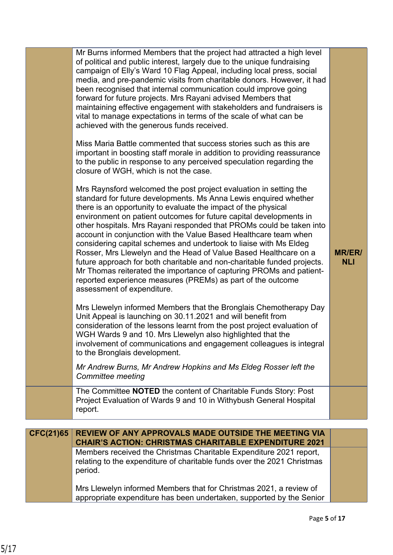|                  | Mr Burns informed Members that the project had attracted a high level<br>of political and public interest, largely due to the unique fundraising<br>campaign of Elly's Ward 10 Flag Appeal, including local press, social<br>media, and pre-pandemic visits from charitable donors. However, it had<br>been recognised that internal communication could improve going<br>forward for future projects. Mrs Rayani advised Members that<br>maintaining effective engagement with stakeholders and fundraisers is<br>vital to manage expectations in terms of the scale of what can be<br>achieved with the generous funds received.<br>Miss Maria Battle commented that success stories such as this are<br>important in boosting staff morale in addition to providing reassurance<br>to the public in response to any perceived speculation regarding the<br>closure of WGH, which is not the case.<br>Mrs Raynsford welcomed the post project evaluation in setting the<br>standard for future developments. Ms Anna Lewis enquired whether<br>there is an opportunity to evaluate the impact of the physical<br>environment on patient outcomes for future capital developments in<br>other hospitals. Mrs Rayani responded that PROMs could be taken into<br>account in conjunction with the Value Based Healthcare team when<br>considering capital schemes and undertook to liaise with Ms Eldeg<br>Rosser, Mrs Llewelyn and the Head of Value Based Healthcare on a<br>future approach for both charitable and non-charitable funded projects.<br>Mr Thomas reiterated the importance of capturing PROMs and patient-<br>reported experience measures (PREMs) as part of the outcome<br>assessment of expenditure.<br>Mrs Llewelyn informed Members that the Bronglais Chemotherapy Day<br>Unit Appeal is launching on 30.11.2021 and will benefit from<br>consideration of the lessons learnt from the post project evaluation of<br>WGH Wards 9 and 10. Mrs Llewelyn also highlighted that the<br>involvement of communications and engagement colleagues is integral | <b>MR/ER/</b><br><b>NLI</b> |
|------------------|--------------------------------------------------------------------------------------------------------------------------------------------------------------------------------------------------------------------------------------------------------------------------------------------------------------------------------------------------------------------------------------------------------------------------------------------------------------------------------------------------------------------------------------------------------------------------------------------------------------------------------------------------------------------------------------------------------------------------------------------------------------------------------------------------------------------------------------------------------------------------------------------------------------------------------------------------------------------------------------------------------------------------------------------------------------------------------------------------------------------------------------------------------------------------------------------------------------------------------------------------------------------------------------------------------------------------------------------------------------------------------------------------------------------------------------------------------------------------------------------------------------------------------------------------------------------------------------------------------------------------------------------------------------------------------------------------------------------------------------------------------------------------------------------------------------------------------------------------------------------------------------------------------------------------------------------------------------------------------------------------------------------------------------------------------------------------------|-----------------------------|
|                  | to the Bronglais development.<br>Mr Andrew Burns, Mr Andrew Hopkins and Ms Eldeg Rosser left the                                                                                                                                                                                                                                                                                                                                                                                                                                                                                                                                                                                                                                                                                                                                                                                                                                                                                                                                                                                                                                                                                                                                                                                                                                                                                                                                                                                                                                                                                                                                                                                                                                                                                                                                                                                                                                                                                                                                                                               |                             |
|                  | Committee meeting                                                                                                                                                                                                                                                                                                                                                                                                                                                                                                                                                                                                                                                                                                                                                                                                                                                                                                                                                                                                                                                                                                                                                                                                                                                                                                                                                                                                                                                                                                                                                                                                                                                                                                                                                                                                                                                                                                                                                                                                                                                              |                             |
|                  | The Committee NOTED the content of Charitable Funds Story: Post<br>Project Evaluation of Wards 9 and 10 in Withybush General Hospital<br>report.                                                                                                                                                                                                                                                                                                                                                                                                                                                                                                                                                                                                                                                                                                                                                                                                                                                                                                                                                                                                                                                                                                                                                                                                                                                                                                                                                                                                                                                                                                                                                                                                                                                                                                                                                                                                                                                                                                                               |                             |
| <b>CFC(21)65</b> | <b>REVIEW OF ANY APPROVALS MADE OUTSIDE THE MEETING VIA</b>                                                                                                                                                                                                                                                                                                                                                                                                                                                                                                                                                                                                                                                                                                                                                                                                                                                                                                                                                                                                                                                                                                                                                                                                                                                                                                                                                                                                                                                                                                                                                                                                                                                                                                                                                                                                                                                                                                                                                                                                                    |                             |
|                  | <b>CHAIR'S ACTION: CHRISTMAS CHARITABLE EXPENDITURE 2021</b>                                                                                                                                                                                                                                                                                                                                                                                                                                                                                                                                                                                                                                                                                                                                                                                                                                                                                                                                                                                                                                                                                                                                                                                                                                                                                                                                                                                                                                                                                                                                                                                                                                                                                                                                                                                                                                                                                                                                                                                                                   |                             |
|                  | Members received the Christmas Charitable Expenditure 2021 report,<br>relating to the expenditure of charitable funds over the 2021 Christmas<br>period.                                                                                                                                                                                                                                                                                                                                                                                                                                                                                                                                                                                                                                                                                                                                                                                                                                                                                                                                                                                                                                                                                                                                                                                                                                                                                                                                                                                                                                                                                                                                                                                                                                                                                                                                                                                                                                                                                                                       |                             |
|                  | Mrs Llewelyn informed Members that for Christmas 2021, a review of<br>appropriate expenditure has been undertaken, supported by the Senior                                                                                                                                                                                                                                                                                                                                                                                                                                                                                                                                                                                                                                                                                                                                                                                                                                                                                                                                                                                                                                                                                                                                                                                                                                                                                                                                                                                                                                                                                                                                                                                                                                                                                                                                                                                                                                                                                                                                     |                             |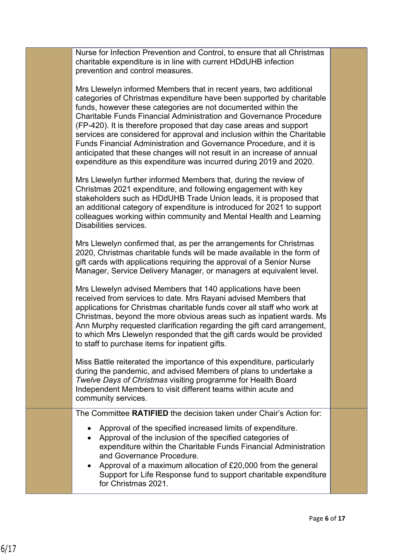| Nurse for Infection Prevention and Control, to ensure that all Christmas |
|--------------------------------------------------------------------------|
| charitable expenditure is in line with current HDdUHB infection          |
| prevention and control measures.                                         |

Mrs Llewelyn informed Members that in recent years, two additional categories of Christmas expenditure have been supported by charitable funds, however these categories are not documented within the Charitable Funds Financial Administration and Governance Procedure (FP-420). It is therefore proposed that day case areas and support services are considered for approval and inclusion within the Charitable Funds Financial Administration and Governance Procedure, and it is anticipated that these changes will not result in an increase of annual expenditure as this expenditure was incurred during 2019 and 2020.

Mrs Llewelyn further informed Members that, during the review of Christmas 2021 expenditure, and following engagement with key stakeholders such as HDdUHB Trade Union leads, it is proposed that an additional category of expenditure is introduced for 2021 to support colleagues working within community and Mental Health and Learning Disabilities services.

Mrs Llewelyn confirmed that, as per the arrangements for Christmas 2020, Christmas charitable funds will be made available in the form of gift cards with applications requiring the approval of a Senior Nurse Manager, Service Delivery Manager, or managers at equivalent level.

Mrs Llewelyn advised Members that 140 applications have been received from services to date. Mrs Rayani advised Members that applications for Christmas charitable funds cover all staff who work at Christmas, beyond the more obvious areas such as inpatient wards. Ms Ann Murphy requested clarification regarding the gift card arrangement, to which Mrs Llewelyn responded that the gift cards would be provided to staff to purchase items for inpatient gifts.

Miss Battle reiterated the importance of this expenditure, particularly during the pandemic, and advised Members of plans to undertake a *Twelve Days of Christmas* visiting programme for Health Board Independent Members to visit different teams within acute and community services.

The Committee **RATIFIED** the decision taken under Chair's Action for:

- Approval of the specified increased limits of expenditure.
- Approval of the inclusion of the specified categories of expenditure within the Charitable Funds Financial Administration and Governance Procedure.
- Approval of a maximum allocation of £20,000 from the general Support for Life Response fund to support charitable expenditure for Christmas 2021.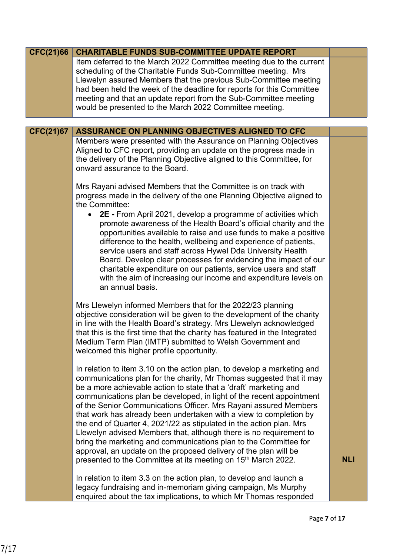| CFC(21)66        | <b>CHARITABLE FUNDS SUB-COMMITTEE UPDATE REPORT</b>                                                                                                                                                                                                                                                                                                                                                                                                                                                                                                                                                                                                     |            |
|------------------|---------------------------------------------------------------------------------------------------------------------------------------------------------------------------------------------------------------------------------------------------------------------------------------------------------------------------------------------------------------------------------------------------------------------------------------------------------------------------------------------------------------------------------------------------------------------------------------------------------------------------------------------------------|------------|
|                  | Item deferred to the March 2022 Committee meeting due to the current<br>scheduling of the Charitable Funds Sub-Committee meeting. Mrs<br>Llewelyn assured Members that the previous Sub-Committee meeting                                                                                                                                                                                                                                                                                                                                                                                                                                               |            |
|                  | had been held the week of the deadline for reports for this Committee<br>meeting and that an update report from the Sub-Committee meeting<br>would be presented to the March 2022 Committee meeting.                                                                                                                                                                                                                                                                                                                                                                                                                                                    |            |
|                  |                                                                                                                                                                                                                                                                                                                                                                                                                                                                                                                                                                                                                                                         |            |
| <b>CFC(21)67</b> | ASSURANCE ON PLANNING OBJECTIVES ALIGNED TO CFC                                                                                                                                                                                                                                                                                                                                                                                                                                                                                                                                                                                                         |            |
|                  | Members were presented with the Assurance on Planning Objectives<br>Aligned to CFC report, providing an update on the progress made in<br>the delivery of the Planning Objective aligned to this Committee, for<br>onward assurance to the Board.                                                                                                                                                                                                                                                                                                                                                                                                       |            |
|                  | Mrs Rayani advised Members that the Committee is on track with<br>progress made in the delivery of the one Planning Objective aligned to<br>the Committee:                                                                                                                                                                                                                                                                                                                                                                                                                                                                                              |            |
|                  | 2E - From April 2021, develop a programme of activities which<br>promote awareness of the Health Board's official charity and the<br>opportunities available to raise and use funds to make a positive<br>difference to the health, wellbeing and experience of patients,<br>service users and staff across Hywel Dda University Health                                                                                                                                                                                                                                                                                                                 |            |
|                  | Board. Develop clear processes for evidencing the impact of our<br>charitable expenditure on our patients, service users and staff<br>with the aim of increasing our income and expenditure levels on<br>an annual basis.                                                                                                                                                                                                                                                                                                                                                                                                                               |            |
|                  | Mrs Llewelyn informed Members that for the 2022/23 planning<br>objective consideration will be given to the development of the charity<br>in line with the Health Board's strategy. Mrs Llewelyn acknowledged<br>that this is the first time that the charity has featured in the Integrated<br>Medium Term Plan (IMTP) submitted to Welsh Government and<br>welcomed this higher profile opportunity.                                                                                                                                                                                                                                                  |            |
|                  | In relation to item 3.10 on the action plan, to develop a marketing and<br>communications plan for the charity, Mr Thomas suggested that it may<br>be a more achievable action to state that a 'draft' marketing and<br>communications plan be developed, in light of the recent appointment<br>of the Senior Communications Officer. Mrs Rayani assured Members<br>that work has already been undertaken with a view to completion by<br>the end of Quarter 4, 2021/22 as stipulated in the action plan. Mrs<br>Llewelyn advised Members that, although there is no requirement to<br>bring the marketing and communications plan to the Committee for |            |
|                  | approval, an update on the proposed delivery of the plan will be<br>presented to the Committee at its meeting on 15 <sup>th</sup> March 2022.                                                                                                                                                                                                                                                                                                                                                                                                                                                                                                           | <b>NLI</b> |
|                  | In relation to item 3.3 on the action plan, to develop and launch a<br>legacy fundraising and in-memoriam giving campaign, Ms Murphy<br>enquired about the tax implications, to which Mr Thomas responded                                                                                                                                                                                                                                                                                                                                                                                                                                               |            |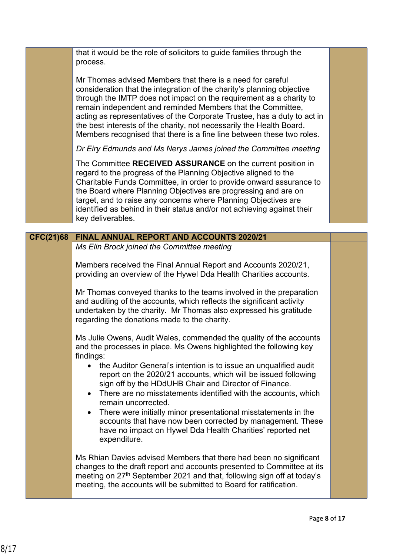|                  | that it would be the role of solicitors to guide families through the<br>process.                                                                                                                                                                                                                                                                                                                                                                                                                       |  |
|------------------|---------------------------------------------------------------------------------------------------------------------------------------------------------------------------------------------------------------------------------------------------------------------------------------------------------------------------------------------------------------------------------------------------------------------------------------------------------------------------------------------------------|--|
|                  | Mr Thomas advised Members that there is a need for careful<br>consideration that the integration of the charity's planning objective<br>through the IMTP does not impact on the requirement as a charity to<br>remain independent and reminded Members that the Committee,<br>acting as representatives of the Corporate Trustee, has a duty to act in<br>the best interests of the charity, not necessarily the Health Board.<br>Members recognised that there is a fine line between these two roles. |  |
|                  | Dr Eiry Edmunds and Ms Nerys James joined the Committee meeting                                                                                                                                                                                                                                                                                                                                                                                                                                         |  |
|                  | The Committee RECEIVED ASSURANCE on the current position in<br>regard to the progress of the Planning Objective aligned to the<br>Charitable Funds Committee, in order to provide onward assurance to<br>the Board where Planning Objectives are progressing and are on<br>target, and to raise any concerns where Planning Objectives are<br>identified as behind in their status and/or not achieving against their<br>key deliverables.                                                              |  |
|                  |                                                                                                                                                                                                                                                                                                                                                                                                                                                                                                         |  |
| <b>CFC(21)68</b> | <b>FINAL ANNUAL REPORT AND ACCOUNTS 2020/21</b>                                                                                                                                                                                                                                                                                                                                                                                                                                                         |  |
|                  | Ms Elin Brock joined the Committee meeting                                                                                                                                                                                                                                                                                                                                                                                                                                                              |  |
|                  | Members received the Final Annual Report and Accounts 2020/21,<br>providing an overview of the Hywel Dda Health Charities accounts.                                                                                                                                                                                                                                                                                                                                                                     |  |
|                  | Mr Thomas conveyed thanks to the teams involved in the preparation<br>and auditing of the accounts, which reflects the significant activity<br>undertaken by the charity. Mr Thomas also expressed his gratitude<br>regarding the donations made to the charity.                                                                                                                                                                                                                                        |  |
|                  | Ms Julie Owens, Audit Wales, commended the quality of the accounts<br>and the processes in place. Ms Owens highlighted the following key<br>findings:                                                                                                                                                                                                                                                                                                                                                   |  |
|                  | the Auditor General's intention is to issue an unqualified audit<br>report on the 2020/21 accounts, which will be issued following<br>sign off by the HDdUHB Chair and Director of Finance.<br>There are no misstatements identified with the accounts, which<br>$\bullet$<br>remain uncorrected.                                                                                                                                                                                                       |  |
|                  | There were initially minor presentational misstatements in the<br>$\bullet$<br>accounts that have now been corrected by management. These<br>have no impact on Hywel Dda Health Charities' reported net<br>expenditure.                                                                                                                                                                                                                                                                                 |  |
|                  | Ms Rhian Davies advised Members that there had been no significant<br>changes to the draft report and accounts presented to Committee at its<br>meeting on 27 <sup>th</sup> September 2021 and that, following sign off at today's<br>meeting, the accounts will be submitted to Board for ratification.                                                                                                                                                                                                |  |
|                  |                                                                                                                                                                                                                                                                                                                                                                                                                                                                                                         |  |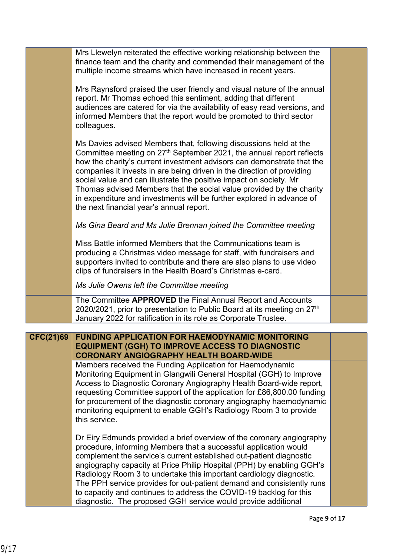|           | Mrs Llewelyn reiterated the effective working relationship between the<br>finance team and the charity and commended their management of the<br>multiple income streams which have increased in recent years.                                                                                                                                                                                                                                                                                                                                                                |  |
|-----------|------------------------------------------------------------------------------------------------------------------------------------------------------------------------------------------------------------------------------------------------------------------------------------------------------------------------------------------------------------------------------------------------------------------------------------------------------------------------------------------------------------------------------------------------------------------------------|--|
|           | Mrs Raynsford praised the user friendly and visual nature of the annual<br>report. Mr Thomas echoed this sentiment, adding that different<br>audiences are catered for via the availability of easy read versions, and<br>informed Members that the report would be promoted to third sector<br>colleagues.                                                                                                                                                                                                                                                                  |  |
|           | Ms Davies advised Members that, following discussions held at the<br>Committee meeting on 27 <sup>th</sup> September 2021, the annual report reflects<br>how the charity's current investment advisors can demonstrate that the<br>companies it invests in are being driven in the direction of providing<br>social value and can illustrate the positive impact on society. Mr<br>Thomas advised Members that the social value provided by the charity<br>in expenditure and investments will be further explored in advance of<br>the next financial year's annual report. |  |
|           | Ms Gina Beard and Ms Julie Brennan joined the Committee meeting                                                                                                                                                                                                                                                                                                                                                                                                                                                                                                              |  |
|           | Miss Battle informed Members that the Communications team is<br>producing a Christmas video message for staff, with fundraisers and<br>supporters invited to contribute and there are also plans to use video<br>clips of fundraisers in the Health Board's Christmas e-card.                                                                                                                                                                                                                                                                                                |  |
|           | Ms Julie Owens left the Committee meeting                                                                                                                                                                                                                                                                                                                                                                                                                                                                                                                                    |  |
|           | The Committee APPROVED the Final Annual Report and Accounts<br>2020/2021, prior to presentation to Public Board at its meeting on 27 <sup>th</sup><br>January 2022 for ratification in its role as Corporate Trustee.                                                                                                                                                                                                                                                                                                                                                        |  |
|           |                                                                                                                                                                                                                                                                                                                                                                                                                                                                                                                                                                              |  |
| CFC(21)69 | <b>FUNDING APPLICATION FOR HAEMODYNAMIC MONITORING</b><br><b>EQUIPMENT (GGH) TO IMPROVE ACCESS TO DIAGNOSTIC</b><br><b>CORONARY ANGIOGRAPHY HEALTH BOARD-WIDE</b>                                                                                                                                                                                                                                                                                                                                                                                                            |  |
|           | Members received the Funding Application for Haemodynamic<br>Monitoring Equipment in Glangwili General Hospital (GGH) to Improve<br>Access to Diagnostic Coronary Angiography Health Board-wide report,<br>requesting Committee support of the application for £86,800.00 funding<br>for procurement of the diagnostic coronary angiography haemodynamic<br>monitoring equipment to enable GGH's Radiology Room 3 to provide<br>this service.                                                                                                                                |  |
|           | Dr Eiry Edmunds provided a brief overview of the coronary angiography<br>procedure, informing Members that a successful application would<br>complement the service's current established out-patient diagnostic<br>angiography capacity at Price Philip Hospital (PPH) by enabling GGH's<br>Radiology Room 3 to undertake this important cardiology diagnostic.<br>The PPH service provides for out-patient demand and consistently runs                                                                                                                                    |  |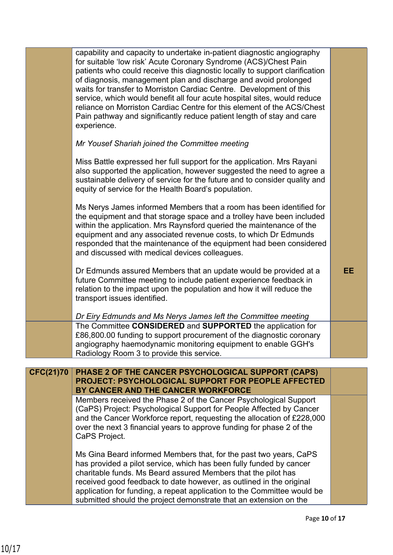|                  | capability and capacity to undertake in-patient diagnostic angiography<br>for suitable 'low risk' Acute Coronary Syndrome (ACS)/Chest Pain<br>patients who could receive this diagnostic locally to support clarification<br>of diagnosis, management plan and discharge and avoid prolonged<br>waits for transfer to Morriston Cardiac Centre. Development of this<br>service, which would benefit all four acute hospital sites, would reduce<br>reliance on Morriston Cardiac Centre for this element of the ACS/Chest<br>Pain pathway and significantly reduce patient length of stay and care<br>experience. |     |
|------------------|-------------------------------------------------------------------------------------------------------------------------------------------------------------------------------------------------------------------------------------------------------------------------------------------------------------------------------------------------------------------------------------------------------------------------------------------------------------------------------------------------------------------------------------------------------------------------------------------------------------------|-----|
|                  | Mr Yousef Shariah joined the Committee meeting                                                                                                                                                                                                                                                                                                                                                                                                                                                                                                                                                                    |     |
|                  | Miss Battle expressed her full support for the application. Mrs Rayani<br>also supported the application, however suggested the need to agree a<br>sustainable delivery of service for the future and to consider quality and<br>equity of service for the Health Board's population.                                                                                                                                                                                                                                                                                                                             |     |
|                  | Ms Nerys James informed Members that a room has been identified for<br>the equipment and that storage space and a trolley have been included<br>within the application. Mrs Raynsford queried the maintenance of the<br>equipment and any associated revenue costs, to which Dr Edmunds<br>responded that the maintenance of the equipment had been considered<br>and discussed with medical devices colleagues.                                                                                                                                                                                                  |     |
|                  | Dr Edmunds assured Members that an update would be provided at a<br>future Committee meeting to include patient experience feedback in<br>relation to the impact upon the population and how it will reduce the<br>transport issues identified.                                                                                                                                                                                                                                                                                                                                                                   | EE. |
|                  | Dr Eiry Edmunds and Ms Nerys James left the Committee meeting                                                                                                                                                                                                                                                                                                                                                                                                                                                                                                                                                     |     |
|                  | The Committee CONSIDERED and SUPPORTED the application for<br>£86,800.00 funding to support procurement of the diagnostic coronary<br>angiography haemodynamic monitoring equipment to enable GGH's<br>Radiology Room 3 to provide this service.                                                                                                                                                                                                                                                                                                                                                                  |     |
| <b>CFC(21)70</b> | PHASE 2 OF THE CANCER PSYCHOLOGICAL SUPPORT (CAPS)                                                                                                                                                                                                                                                                                                                                                                                                                                                                                                                                                                |     |
|                  | PROJECT: PSYCHOLOGICAL SUPPORT FOR PEOPLE AFFECTED<br>BY CANCER AND THE CANCER WORKFORCE                                                                                                                                                                                                                                                                                                                                                                                                                                                                                                                          |     |
|                  | Members received the Phase 2 of the Cancer Psychological Support<br>(CaPS) Project: Psychological Support for People Affected by Cancer<br>and the Cancer Workforce report, requesting the allocation of £228,000<br>over the next 3 financial years to approve funding for phase 2 of the<br>CaPS Project.                                                                                                                                                                                                                                                                                                       |     |
|                  | Ms Gina Beard informed Members that, for the past two years, CaPS<br>has provided a pilot service, which has been fully funded by cancer<br>charitable funds. Ms Beard assured Members that the pilot has<br>received good feedback to date however, as outlined in the original<br>application for funding, a repeat application to the Committee would be<br>submitted should the project demonstrate that an extension on the                                                                                                                                                                                  |     |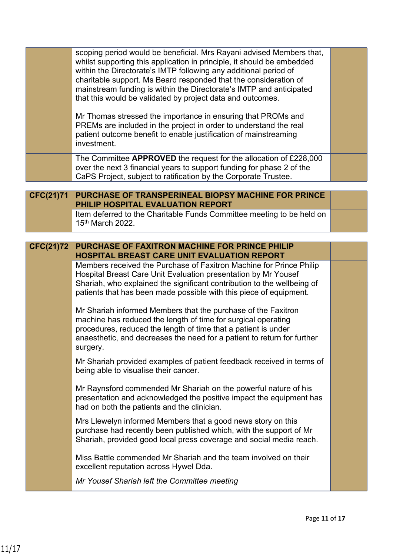|                  | scoping period would be beneficial. Mrs Rayani advised Members that,<br>whilst supporting this application in principle, it should be embedded<br>within the Directorate's IMTP following any additional period of<br>charitable support. Ms Beard responded that the consideration of<br>mainstream funding is within the Directorate's IMTP and anticipated<br>that this would be validated by project data and outcomes.<br>Mr Thomas stressed the importance in ensuring that PROMs and<br>PREMs are included in the project in order to understand the real<br>patient outcome benefit to enable justification of mainstreaming<br>investment. |  |
|------------------|-----------------------------------------------------------------------------------------------------------------------------------------------------------------------------------------------------------------------------------------------------------------------------------------------------------------------------------------------------------------------------------------------------------------------------------------------------------------------------------------------------------------------------------------------------------------------------------------------------------------------------------------------------|--|
|                  | The Committee APPROVED the request for the allocation of £228,000<br>over the next 3 financial years to support funding for phase 2 of the<br>CaPS Project, subject to ratification by the Corporate Trustee.                                                                                                                                                                                                                                                                                                                                                                                                                                       |  |
| <b>CFC(21)71</b> | PURCHASE OF TRANSPERINEAL BIOPSY MACHINE FOR PRINCE                                                                                                                                                                                                                                                                                                                                                                                                                                                                                                                                                                                                 |  |
|                  | PHILIP HOSPITAL EVALUATION REPORT                                                                                                                                                                                                                                                                                                                                                                                                                                                                                                                                                                                                                   |  |
|                  | Item deferred to the Charitable Funds Committee meeting to be held on<br>15 <sup>th</sup> March 2022.                                                                                                                                                                                                                                                                                                                                                                                                                                                                                                                                               |  |
|                  |                                                                                                                                                                                                                                                                                                                                                                                                                                                                                                                                                                                                                                                     |  |
| <b>CFC(21)72</b> | <b>PURCHASE OF FAXITRON MACHINE FOR PRINCE PHILIP</b><br><b>HOSPITAL BREAST CARE UNIT EVALUATION REPORT</b>                                                                                                                                                                                                                                                                                                                                                                                                                                                                                                                                         |  |
|                  | Members received the Purchase of Faxitron Machine for Prince Philip<br>Hospital Breast Care Unit Evaluation presentation by Mr Yousef<br>Shariah, who explained the significant contribution to the wellbeing of<br>patients that has been made possible with this piece of equipment.                                                                                                                                                                                                                                                                                                                                                              |  |
|                  | Mr Shariah informed Members that the purchase of the Faxitron<br>machine has reduced the length of time for surgical operating<br>procedures, reduced the length of time that a patient is under<br>anaesthetic, and decreases the need for a patient to return for further<br>surgery.                                                                                                                                                                                                                                                                                                                                                             |  |
|                  | Mr Shariah provided examples of patient feedback received in terms of<br>being able to visualise their cancer.                                                                                                                                                                                                                                                                                                                                                                                                                                                                                                                                      |  |
|                  | Mr Raynsford commended Mr Shariah on the powerful nature of his<br>presentation and acknowledged the positive impact the equipment has<br>had on both the patients and the clinician.                                                                                                                                                                                                                                                                                                                                                                                                                                                               |  |
|                  | Mrs Llewelyn informed Members that a good news story on this<br>purchase had recently been published which, with the support of Mr<br>Shariah, provided good local press coverage and social media reach.                                                                                                                                                                                                                                                                                                                                                                                                                                           |  |
|                  | Miss Battle commended Mr Shariah and the team involved on their<br>excellent reputation across Hywel Dda.                                                                                                                                                                                                                                                                                                                                                                                                                                                                                                                                           |  |
|                  | Mr Yousef Shariah left the Committee meeting                                                                                                                                                                                                                                                                                                                                                                                                                                                                                                                                                                                                        |  |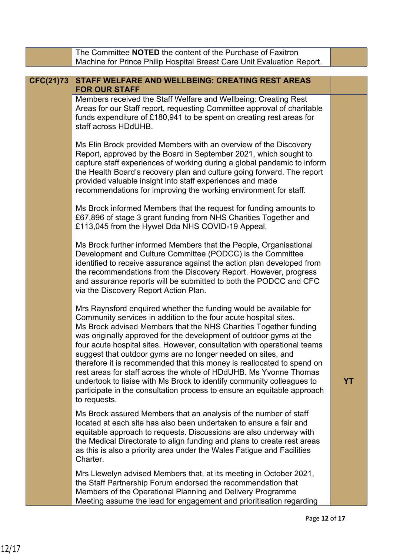|                  | The Committee NOTED the content of the Purchase of Faxitron<br>Machine for Prince Philip Hospital Breast Care Unit Evaluation Report.                                                                                                                                                                                                                                                                                                                                                                                                                                                                                                                                                                                                         |           |
|------------------|-----------------------------------------------------------------------------------------------------------------------------------------------------------------------------------------------------------------------------------------------------------------------------------------------------------------------------------------------------------------------------------------------------------------------------------------------------------------------------------------------------------------------------------------------------------------------------------------------------------------------------------------------------------------------------------------------------------------------------------------------|-----------|
|                  |                                                                                                                                                                                                                                                                                                                                                                                                                                                                                                                                                                                                                                                                                                                                               |           |
| <b>CFC(21)73</b> | STAFF WELFARE AND WELLBEING: CREATING REST AREAS<br><b>FOR OUR STAFF</b>                                                                                                                                                                                                                                                                                                                                                                                                                                                                                                                                                                                                                                                                      |           |
|                  | Members received the Staff Welfare and Wellbeing: Creating Rest<br>Areas for our Staff report, requesting Committee approval of charitable<br>funds expenditure of £180,941 to be spent on creating rest areas for<br>staff across HDdUHB.                                                                                                                                                                                                                                                                                                                                                                                                                                                                                                    |           |
|                  | Ms Elin Brock provided Members with an overview of the Discovery<br>Report, approved by the Board in September 2021, which sought to<br>capture staff experiences of working during a global pandemic to inform<br>the Health Board's recovery plan and culture going forward. The report<br>provided valuable insight into staff experiences and made<br>recommendations for improving the working environment for staff.                                                                                                                                                                                                                                                                                                                    |           |
|                  | Ms Brock informed Members that the request for funding amounts to<br>£67,896 of stage 3 grant funding from NHS Charities Together and<br>£113,045 from the Hywel Dda NHS COVID-19 Appeal.                                                                                                                                                                                                                                                                                                                                                                                                                                                                                                                                                     |           |
|                  | Ms Brock further informed Members that the People, Organisational<br>Development and Culture Committee (PODCC) is the Committee<br>identified to receive assurance against the action plan developed from<br>the recommendations from the Discovery Report. However, progress<br>and assurance reports will be submitted to both the PODCC and CFC<br>via the Discovery Report Action Plan.                                                                                                                                                                                                                                                                                                                                                   |           |
|                  | Mrs Raynsford enquired whether the funding would be available for<br>Community services in addition to the four acute hospital sites.<br>Ms Brock advised Members that the NHS Charities Together funding<br>was originally approved for the development of outdoor gyms at the<br>four acute hospital sites. However, consultation with operational teams<br>suggest that outdoor gyms are no longer needed on sites, and<br>therefore it is recommended that this money is reallocated to spend on<br>rest areas for staff across the whole of HDdUHB. Ms Yvonne Thomas<br>undertook to liaise with Ms Brock to identify community colleagues to<br>participate in the consultation process to ensure an equitable approach<br>to requests. | <b>YT</b> |
|                  | Ms Brock assured Members that an analysis of the number of staff<br>located at each site has also been undertaken to ensure a fair and<br>equitable approach to requests. Discussions are also underway with<br>the Medical Directorate to align funding and plans to create rest areas<br>as this is also a priority area under the Wales Fatigue and Facilities<br>Charter.                                                                                                                                                                                                                                                                                                                                                                 |           |
|                  | Mrs Llewelyn advised Members that, at its meeting in October 2021,<br>the Staff Partnership Forum endorsed the recommendation that<br>Members of the Operational Planning and Delivery Programme<br>Meeting assume the lead for engagement and prioritisation regarding                                                                                                                                                                                                                                                                                                                                                                                                                                                                       |           |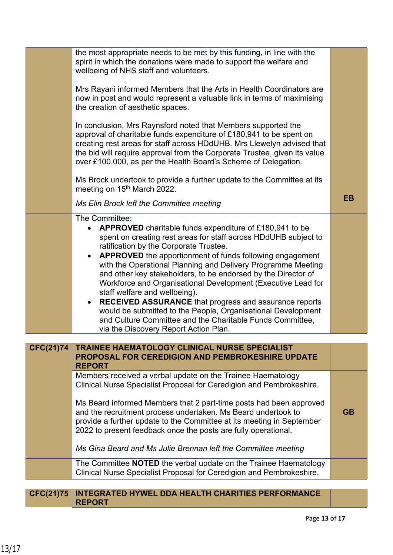|                  | the most appropriate needs to be met by this funding, in line with the<br>spirit in which the donations were made to support the welfare and<br>wellbeing of NHS staff and volunteers.                                                                                                                                                                                                                                                                                                                                                                                                                                                                                                                                                    |           |
|------------------|-------------------------------------------------------------------------------------------------------------------------------------------------------------------------------------------------------------------------------------------------------------------------------------------------------------------------------------------------------------------------------------------------------------------------------------------------------------------------------------------------------------------------------------------------------------------------------------------------------------------------------------------------------------------------------------------------------------------------------------------|-----------|
|                  | Mrs Rayani informed Members that the Arts in Health Coordinators are<br>now in post and would represent a valuable link in terms of maximising<br>the creation of aesthetic spaces.                                                                                                                                                                                                                                                                                                                                                                                                                                                                                                                                                       |           |
|                  | In conclusion, Mrs Raynsford noted that Members supported the<br>approval of charitable funds expenditure of £180,941 to be spent on<br>creating rest areas for staff across HDdUHB. Mrs Llewelyn advised that<br>the bid will require approval from the Corporate Trustee, given its value<br>over £100,000, as per the Health Board's Scheme of Delegation.                                                                                                                                                                                                                                                                                                                                                                             |           |
|                  | Ms Brock undertook to provide a further update to the Committee at its<br>meeting on 15th March 2022.                                                                                                                                                                                                                                                                                                                                                                                                                                                                                                                                                                                                                                     |           |
|                  | Ms Elin Brock left the Committee meeting                                                                                                                                                                                                                                                                                                                                                                                                                                                                                                                                                                                                                                                                                                  | <b>EB</b> |
|                  | The Committee:<br><b>APPROVED</b> charitable funds expenditure of £180,941 to be<br>spent on creating rest areas for staff across HDdUHB subject to<br>ratification by the Corporate Trustee.<br><b>APPROVED</b> the apportionment of funds following engagement<br>with the Operational Planning and Delivery Programme Meeting<br>and other key stakeholders, to be endorsed by the Director of<br>Workforce and Organisational Development (Executive Lead for<br>staff welfare and wellbeing).<br><b>RECEIVED ASSURANCE</b> that progress and assurance reports<br>would be submitted to the People, Organisational Development<br>and Culture Committee and the Charitable Funds Committee,<br>via the Discovery Report Action Plan. |           |
| <b>CFC(21)74</b> | <b>TRAINEE HAEMATOLOGY CLINICAL NURSE SPECIALIST</b>                                                                                                                                                                                                                                                                                                                                                                                                                                                                                                                                                                                                                                                                                      |           |
|                  | PROPOSAL FOR CEREDIGION AND PEMBROKESHIRE UPDATE<br><b>REPORT</b>                                                                                                                                                                                                                                                                                                                                                                                                                                                                                                                                                                                                                                                                         |           |
|                  | Members received a verbal update on the Trainee Haematology<br>Clinical Nurse Specialist Proposal for Ceredigion and Pembrokeshire.                                                                                                                                                                                                                                                                                                                                                                                                                                                                                                                                                                                                       |           |
|                  | Ms Beard informed Members that 2 part-time posts had been approved<br>and the recruitment process undertaken. Ms Beard undertook to<br>provide a further update to the Committee at its meeting in September<br>2022 to present feedback once the posts are fully operational.                                                                                                                                                                                                                                                                                                                                                                                                                                                            | <b>GB</b> |
|                  | Ms Gina Beard and Ms Julie Brennan left the Committee meeting                                                                                                                                                                                                                                                                                                                                                                                                                                                                                                                                                                                                                                                                             |           |
|                  | The Committee <b>NOTED</b> the verbal update on the Trainee Haematology<br>Clinical Nurse Specialist Proposal for Ceredigion and Pembrokeshire.                                                                                                                                                                                                                                                                                                                                                                                                                                                                                                                                                                                           |           |
|                  | <b>CFC(21)75   INTEGRATED HYWEL DDA HEALTH CHARITIES PERFORMANCE</b>                                                                                                                                                                                                                                                                                                                                                                                                                                                                                                                                                                                                                                                                      |           |

**REPORT**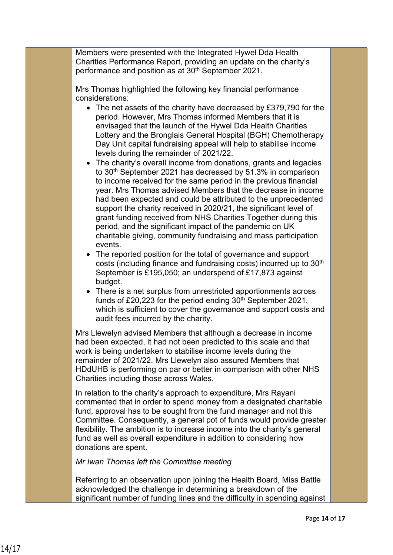Members were presented with the Integrated Hywel Dda Health Charities Performance Report, providing an update on the charity's performance and position as at 30<sup>th</sup> September 2021.

Mrs Thomas highlighted the following key financial performance considerations:

- The net assets of the charity have decreased by £379,790 for the period. However, Mrs Thomas informed Members that it is envisaged that the launch of the Hywel Dda Health Charities Lottery and the Bronglais General Hospital (BGH) Chemotherapy Day Unit capital fundraising appeal will help to stabilise income levels during the remainder of 2021/22.
- The charity's overall income from donations, grants and legacies to 30<sup>th</sup> September 2021 has decreased by 51.3% in comparison to income received for the same period in the previous financial year. Mrs Thomas advised Members that the decrease in income had been expected and could be attributed to the unprecedented support the charity received in 2020/21, the significant level of grant funding received from NHS Charities Together during this period, and the significant impact of the pandemic on UK charitable giving, community fundraising and mass participation events.
- The reported position for the total of governance and support costs (including finance and fundraising costs) incurred up to 30th September is £195,050; an underspend of £17,873 against budget.
- There is a net surplus from unrestricted apportionments across funds of £20,223 for the period ending  $30<sup>th</sup>$  September 2021, which is sufficient to cover the governance and support costs and audit fees incurred by the charity.

Mrs Llewelyn advised Members that although a decrease in income had been expected, it had not been predicted to this scale and that work is being undertaken to stabilise income levels during the remainder of 2021/22. Mrs Llewelyn also assured Members that HDdUHB is performing on par or better in comparison with other NHS Charities including those across Wales.

In relation to the charity's approach to expenditure, Mrs Rayani commented that in order to spend money from a designated charitable fund, approval has to be sought from the fund manager and not this Committee. Consequently, a general pot of funds would provide greater flexibility. The ambition is to increase income into the charity's general fund as well as overall expenditure in addition to considering how donations are spent.

*Mr Iwan Thomas left the Committee meeting*

Referring to an observation upon joining the Health Board, Miss Battle acknowledged the challenge in determining a breakdown of the significant number of funding lines and the difficulty in spending against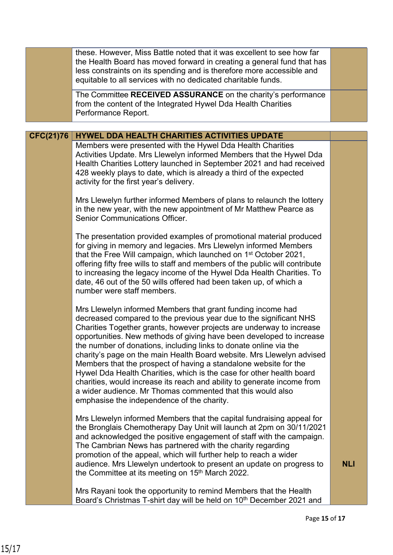|                  | these. However, Miss Battle noted that it was excellent to see how far<br>the Health Board has moved forward in creating a general fund that has<br>less constraints on its spending and is therefore more accessible and<br>equitable to all services with no dedicated charitable funds.                                                                                                                                                                                                                                                                                                                                                                                                                                                                         |            |
|------------------|--------------------------------------------------------------------------------------------------------------------------------------------------------------------------------------------------------------------------------------------------------------------------------------------------------------------------------------------------------------------------------------------------------------------------------------------------------------------------------------------------------------------------------------------------------------------------------------------------------------------------------------------------------------------------------------------------------------------------------------------------------------------|------------|
|                  | The Committee RECEIVED ASSURANCE on the charity's performance<br>from the content of the Integrated Hywel Dda Health Charities<br>Performance Report.                                                                                                                                                                                                                                                                                                                                                                                                                                                                                                                                                                                                              |            |
|                  |                                                                                                                                                                                                                                                                                                                                                                                                                                                                                                                                                                                                                                                                                                                                                                    |            |
| <b>CFC(21)76</b> | <b>HYWEL DDA HEALTH CHARITIES ACTIVITIES UPDATE</b><br>Members were presented with the Hywel Dda Health Charities<br>Activities Update. Mrs Llewelyn informed Members that the Hywel Dda<br>Health Charities Lottery launched in September 2021 and had received<br>428 weekly plays to date, which is already a third of the expected<br>activity for the first year's delivery.                                                                                                                                                                                                                                                                                                                                                                                  |            |
|                  | Mrs Llewelyn further informed Members of plans to relaunch the lottery<br>in the new year, with the new appointment of Mr Matthew Pearce as<br><b>Senior Communications Officer.</b>                                                                                                                                                                                                                                                                                                                                                                                                                                                                                                                                                                               |            |
|                  | The presentation provided examples of promotional material produced<br>for giving in memory and legacies. Mrs Llewelyn informed Members<br>that the Free Will campaign, which launched on 1 <sup>st</sup> October 2021,<br>offering fifty free wills to staff and members of the public will contribute<br>to increasing the legacy income of the Hywel Dda Health Charities. To<br>date, 46 out of the 50 wills offered had been taken up, of which a<br>number were staff members.                                                                                                                                                                                                                                                                               |            |
|                  | Mrs Llewelyn informed Members that grant funding income had<br>decreased compared to the previous year due to the significant NHS<br>Charities Together grants, however projects are underway to increase<br>opportunities. New methods of giving have been developed to increase<br>the number of donations, including links to donate online via the<br>charity's page on the main Health Board website. Mrs Llewelyn advised<br>Members that the prospect of having a standalone website for the<br>Hywel Dda Health Charities, which is the case for other health board<br>charities, would increase its reach and ability to generate income from<br>a wider audience. Mr Thomas commented that this would also<br>emphasise the independence of the charity. |            |
|                  | Mrs Llewelyn informed Members that the capital fundraising appeal for<br>the Bronglais Chemotherapy Day Unit will launch at 2pm on 30/11/2021<br>and acknowledged the positive engagement of staff with the campaign.<br>The Cambrian News has partnered with the charity regarding<br>promotion of the appeal, which will further help to reach a wider<br>audience. Mrs Llewelyn undertook to present an update on progress to<br>the Committee at its meeting on 15 <sup>th</sup> March 2022.                                                                                                                                                                                                                                                                   | <b>NLI</b> |
|                  | Mrs Rayani took the opportunity to remind Members that the Health<br>Board's Christmas T-shirt day will be held on 10 <sup>th</sup> December 2021 and                                                                                                                                                                                                                                                                                                                                                                                                                                                                                                                                                                                                              |            |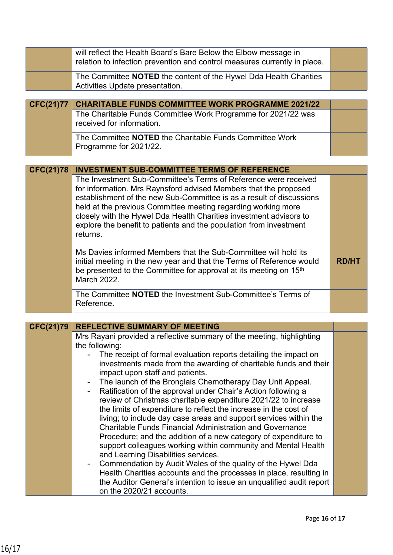|                  | will reflect the Health Board's Bare Below the Elbow message in<br>relation to infection prevention and control measures currently in place.                                                                                                                                                                                                                                                                                                                                                                                                                                                                                                                                                                             |              |
|------------------|--------------------------------------------------------------------------------------------------------------------------------------------------------------------------------------------------------------------------------------------------------------------------------------------------------------------------------------------------------------------------------------------------------------------------------------------------------------------------------------------------------------------------------------------------------------------------------------------------------------------------------------------------------------------------------------------------------------------------|--------------|
|                  | The Committee <b>NOTED</b> the content of the Hywel Dda Health Charities<br>Activities Update presentation.                                                                                                                                                                                                                                                                                                                                                                                                                                                                                                                                                                                                              |              |
|                  |                                                                                                                                                                                                                                                                                                                                                                                                                                                                                                                                                                                                                                                                                                                          |              |
| <b>CFC(21)77</b> | <b>CHARITABLE FUNDS COMMITTEE WORK PROGRAMME 2021/22</b>                                                                                                                                                                                                                                                                                                                                                                                                                                                                                                                                                                                                                                                                 |              |
|                  | The Charitable Funds Committee Work Programme for 2021/22 was<br>received for information.                                                                                                                                                                                                                                                                                                                                                                                                                                                                                                                                                                                                                               |              |
|                  | The Committee NOTED the Charitable Funds Committee Work<br>Programme for 2021/22.                                                                                                                                                                                                                                                                                                                                                                                                                                                                                                                                                                                                                                        |              |
|                  |                                                                                                                                                                                                                                                                                                                                                                                                                                                                                                                                                                                                                                                                                                                          |              |
| <b>CFC(21)78</b> | <b>INVESTMENT SUB-COMMITTEE TERMS OF REFERENCE</b>                                                                                                                                                                                                                                                                                                                                                                                                                                                                                                                                                                                                                                                                       |              |
|                  | The Investment Sub-Committee's Terms of Reference were received<br>for information. Mrs Raynsford advised Members that the proposed<br>establishment of the new Sub-Committee is as a result of discussions<br>held at the previous Committee meeting regarding working more<br>closely with the Hywel Dda Health Charities investment advisors to<br>explore the benefit to patients and the population from investment<br>returns.                                                                                                                                                                                                                                                                                     |              |
|                  | Ms Davies informed Members that the Sub-Committee will hold its<br>initial meeting in the new year and that the Terms of Reference would<br>be presented to the Committee for approval at its meeting on 15 <sup>th</sup><br>March 2022.                                                                                                                                                                                                                                                                                                                                                                                                                                                                                 | <b>RD/HT</b> |
|                  | The Committee NOTED the Investment Sub-Committee's Terms of<br>Reference.                                                                                                                                                                                                                                                                                                                                                                                                                                                                                                                                                                                                                                                |              |
|                  |                                                                                                                                                                                                                                                                                                                                                                                                                                                                                                                                                                                                                                                                                                                          |              |
| <b>CFC(21)79</b> | <b>REFLECTIVE SUMMARY OF MEETING</b>                                                                                                                                                                                                                                                                                                                                                                                                                                                                                                                                                                                                                                                                                     |              |
|                  | Mrs Rayani provided a reflective summary of the meeting, highlighting<br>the following:<br>The receipt of formal evaluation reports detailing the impact on                                                                                                                                                                                                                                                                                                                                                                                                                                                                                                                                                              |              |
|                  | investments made from the awarding of charitable funds and their<br>impact upon staff and patients.                                                                                                                                                                                                                                                                                                                                                                                                                                                                                                                                                                                                                      |              |
|                  | The launch of the Bronglais Chemotherapy Day Unit Appeal.<br>Ratification of the approval under Chair's Action following a<br>review of Christmas charitable expenditure 2021/22 to increase<br>the limits of expenditure to reflect the increase in the cost of<br>living; to include day case areas and support services within the<br><b>Charitable Funds Financial Administration and Governance</b><br>Procedure; and the addition of a new category of expenditure to<br>support colleagues working within community and Mental Health<br>and Learning Disabilities services.<br>Commendation by Audit Wales of the quality of the Hywel Dda<br>Health Charities accounts and the processes in place, resulting in |              |